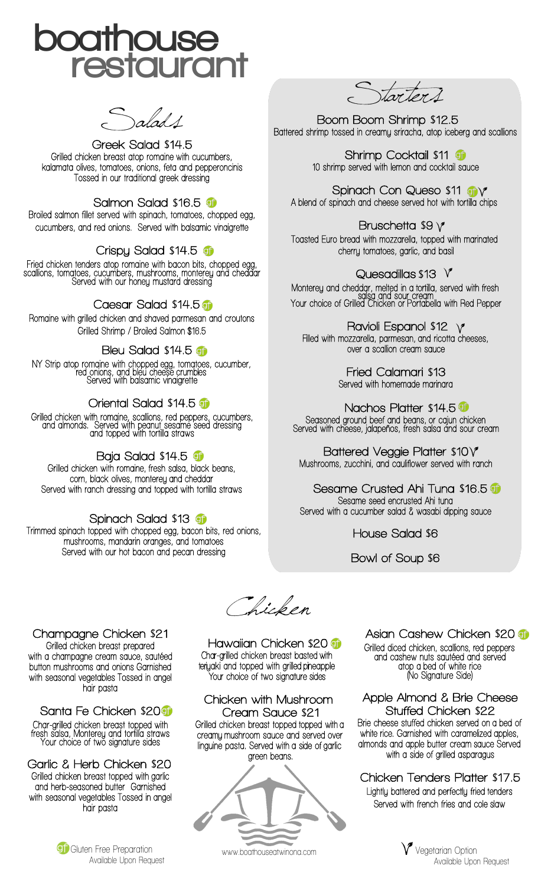

Salads

**Greek Salad** \$**14.5** Grilled chicken breast atop romaine with cucumbers, kalamata olives, tomatoes, onions, feta and pepperoncinis Tossed in our traditional greek dressing

**Salmon Salad** \$**16.5** Broiled salmon fillet served with spinach, tomatoes, chopped egg, cucumbers, and red onions. Served with balsamic vinaigrette

## **Crispy Salad** \$**14.5**

Fried chicken tenders atop romaine with bacon bits, chopped egg, scallions, tomatoes, cucumbers, mushrooms, monterey and cheddar Served with our honey mustard dressing

**Caesar Salad** \$**14.5**

Romaine with grilled chicken and shaved parmesan and croutons Grilled Shrimp / Broiled Salmon \$16.5

## **Bleu Salad** \$**14.5**

NY Strip atop romaine with chopped egg, tomatoes, cucumber, red onions, and bleu cheese crumbles Served with balsamic vinaigrette

## **Oriental Salad** \$**14.5**

Grilled chicken with romaine, scallions, red peppers, cucumbers, and almonds. Served with peanut sesame seed dressing and topped with tortilla straws

**Baja Salad** \$**14.5** Grilled chicken with romaine, fresh salsa, black beans, corn, black olives, monterey and cheddar Served with ranch dressing and topped with tortilla straws

### **Spinach Salad** \$**13**

Trimmed spinach topped with chopped egg, bacon bits, red onions, mushrooms, mandarin oranges, and tomatoes Served with our hot bacon and pecan dressing

Starter 1

Battered shrimp tossed in creamy sriracha, atop iceberg and scallions **Boom Boom Shrimp** \$**12.5**

> **Shrimp Cocktail** \$**11** 10 shrimp served with lemon and cocktail sauce

A blend of spinach and cheese served hot with tortilla chips **Spinach Con Queso** \$**11**

**Bruschetta** \$**9**  Toasted Euro bread with mozzarella, topped with marinated cherry tomatoes, garlic, and basil

**Quesadillas** \$**13** Monterey and cheddar, melted in a tortilla, served with fresh salsa and sour cream Your choice of Grilled Chicken or Portabella with Red Pepper

 **Ravioli Espanol** \$**12**  Filled with mozzarella, parmesan, and ricotta cheeses, over a scallion cream sauce

> **Fried Calamari** \$**13** Served with homemade marinara

**Nachos Platter** \$**14.5** Seasoned ground beef and beans, or cajun chicken Served with cheese, jalapeños, fresh salsa and sour cream

**Battered Veggie Platter** \$**10** Mushrooms, zucchini, and cauliflower served with ranch

**Sesame Crusted Ahi Tuna** \$**16.5** Sesame seed encrusted Ahi tuna Served with a cucumber salad & wasabi dipping sauce

**House Salad** \$**6**

**Bowl of Soup** \$**6**

Chicken

**Champagne Chicken** \$**21** Grilled chicken breast prepared with a champagne cream sauce, sautéed button mushrooms and onions Garnished with seasonal vegetables Tossed in angel hair pasta

**Santa Fe Chicken** \$**20** Char-grilled chicken breast topped with fresh salsa, Monterey and tortilla straws Your choice of two signature sides

**Garlic & Herb Chicken** \$**20** Grilled chicken breast topped with garlic and herb-seasoned butter Garnished with seasonal vegetables Tossed in angel hair pasta

**Available Upon Request** 

**Hawaiian Chicken** \$**20** Char-grilled chicken breast basted with teriyaki and topped with grilled pineapple Your choice of two signature sides

**Chicken with Mushroom Cream Sauce** \$**21** Grilled chicken breast topped topped with a creamy mushroom sauce and served over linguine pasta. Served with a side of garlic green beans.



**Asian Cashew Chicken** \$**20** Grilled diced chicken, scallions, red peppers and cashew nuts sautéed and served atop a bed of white rice (No Signature Side)

**Apple Almond & Brie Cheese Stuffed Chicken** \$**22** Brie cheese stuffed chicken served on a bed of white rice. Garnished with caramelized apples, almonds and apple butter cream sauce Served with a side of grilled asparagus

**Chicken Tenders Platter** \$**17.5** Lightly battered and perfectly fried tenders Served with french fries and cole slaw

> **Vegetarian Option Available Upon Request**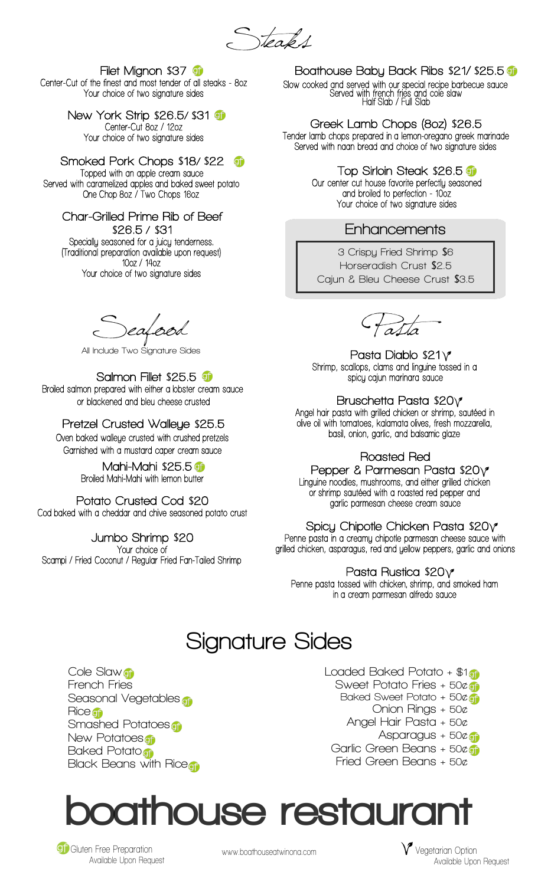Steaks

**Filet Mignon** \$**37** Center-Cut of the finest and most tender of all steaks - 8oz Your choice of two signature sides

> **New York Strip** \$**26.5/** \$**31** Center-Cut 8oz / 12oz Your choice of two signature sides

**Smoked Pork Chops** \$**18/** \$**22** Topped with an apple cream sauce Served with caramelized apples and baked sweet potato One Chop 8oz / Two Chops 16oz

**Char-Grilled Prime Rib of Beef** \$**26.5 /** \$**31** Specially seasoned for a juicy tenderness. (Traditional preparation available upon request) 10oz / 14oz Your choice of two signature sides

Seafood

**All Include Two Signature Sides**

**Salmon Fillet** \$**25.5** Broiled salmon prepared with either a lobster cream sauce or blackened and bleu cheese crusted

**Pretzel Crusted Walleye** \$**25.5** Oven baked walleye crusted with crushed pretzels Garnished with a mustard caper cream sauce

> **Mahi-Mahi** \$**25.5** Broiled Mahi-Mahi with lemon butter

**Potato Crusted Cod** \$**20** Cod baked with a cheddar and chive seasoned potato crust

**Jumbo Shrimp** \$**20** Your choice of Scampi / Fried Coconut / Regular Fried Fan-Tailed Shrimp

**Boathouse Baby Back Ribs** \$**21/** \$**25.5** Slow cooked and served with our special recipe barbecue sauce Served with french fries and cole slaw Half Slab / Full Slab

**Greek Lamb Chops (8oz)** \$**26.5** Tender lamb chops prepared in a lemon-oregano greek marinade Served with naan bread and choice of two signature sides

> **Top Sirloin Steak** \$**26.5** Our center cut house favorite perfectly seasoned and broiled to perfection - 10oz Your choice of two signature sides

## **Enhancements**

**3 Crispy Fried Shrimp** \$**6 Horseradish Crust** \$**2.5 Cajun & Bleu Cheese Crust** \$**3.5**



**Pasta Diablo** \$**21** Shrimp, scallops, clams and linguine tossed in a spicy cajun marinara sauce

**Bruschetta Pasta** \$**20**  Angel hair pasta with grilled chicken or shrimp, sautéed in olive oil with tomatoes, kalamata olives, fresh mozzarella, basil, onion, garlic, and balsamic glaze

### **Roasted Red**

**Pepper & Parmesan Pasta** \$**20** Linguine noodles, mushrooms, and either grilled chicken or shrimp sautéed with a roasted red pepper and garlic parmesan cheese cream sauce

**Spicy Chipotle Chicken Pasta** \$**20** Penne pasta in a creamy chipotle parmesan cheese sauce with grilled chicken, asparagus, red and yellow peppers, garlic and onions

**Pasta Rustica** \$**20** Penne pasta tossed with chicken, shrimp, and smoked ham in a cream parmesan alfredo sauce

# **Signature Sides**

**Cole Slaw French Fries Seasonal Vegetables Rice**<sup></sup> **Smashed Potatoes New Potatoes Baked Potato Black Beans with Rice**

**Loaded Baked Potato + \$1 Sweet Potato Fries + 50¢ Baked Sweet Potato + 50¢ Onion Rings + 50¢ Angel Hair Pasta + 50¢ Asparagus + 50¢ Garlic Green Beans + 50¢ Fried Green Beans + 50¢**



**Gi** Gluten Free Preparation **www.boathouseatwinona.com Available Upon Request** 

**Vegetarian Option Available Upon Request**